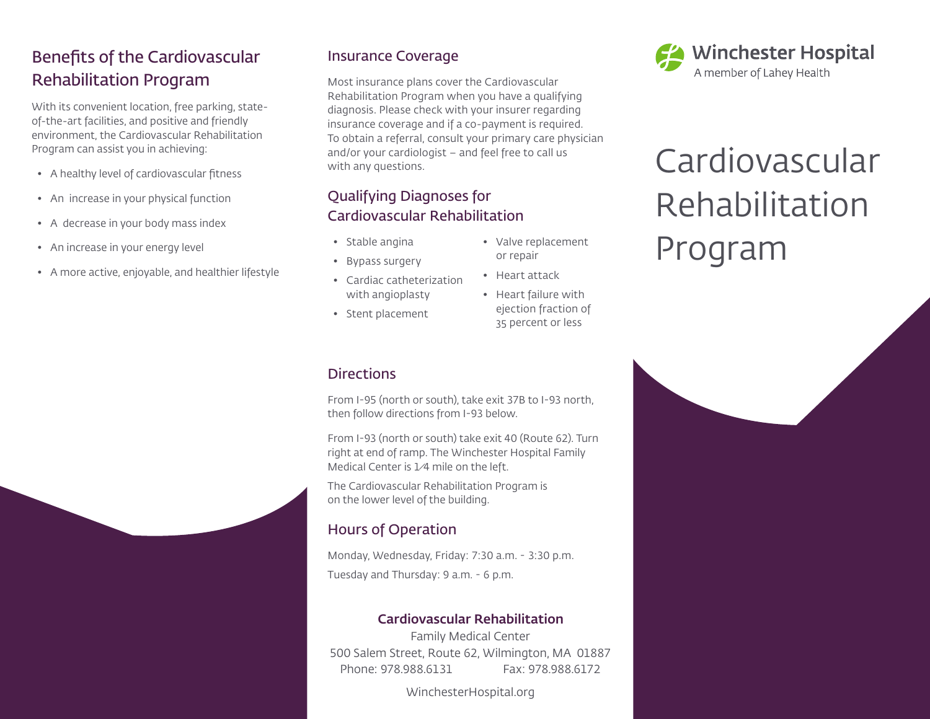## Benefits of the Cardiovascular Rehabilitation Program

With its convenient location, free parking, stateof-the-art facilities, and positive and friendly environment, the Cardiovascular Rehabilitation Program can assist you in achieving:

- A healthy level of cardiovascular fitness
- An increase in your physical function
- A decrease in your body mass index
- An increase in your energy level
- A more active, enjoyable, and healthier lifestyle

### Insurance Coverage

Most insurance plans cover the Cardiovascular Rehabilitation Program when you have a qualifying diagnosis. Please check with your insurer regarding insurance coverage and if a co-payment is required. To obtain a referral, consult your primary care physician and/or your cardiologist – and feel free to call us with any questions.

### Qualifying Diagnoses for Cardiovascular Rehabilitation

- Stable angina
- Bypass surgery
- Cardiac catheterization with angioplasty
- Stent placement
- Valve replacement or repair
- Heart attack
- Heart failure with ejection fraction of 35 percent or less

### **Directions**

From I-95 (north or south), take exit 37B to I-93 north, then follow directions from I-93 below.

From I-93 (north or south) take exit 40 (Route 62). Turn right at end of ramp. The Winchester Hospital Family Medical Center is 1⁄4 mile on the left.

The Cardiovascular Rehabilitation Program is on the lower level of the building.

### Hours of Operation

Monday, Wednesday, Friday: 7:30 a.m. - 3:30 p.m. Tuesday and Thursday: 9 a.m. - 6 p.m.

#### Cardiovascular Rehabilitation

Family Medical Center 500 Salem Street, Route 62, Wilmington, MA 01887 Phone: 978.988.6131 Fax: 978.988.6172

WinchesterHospital.org



# Cardiovascular Rehabilitation Program